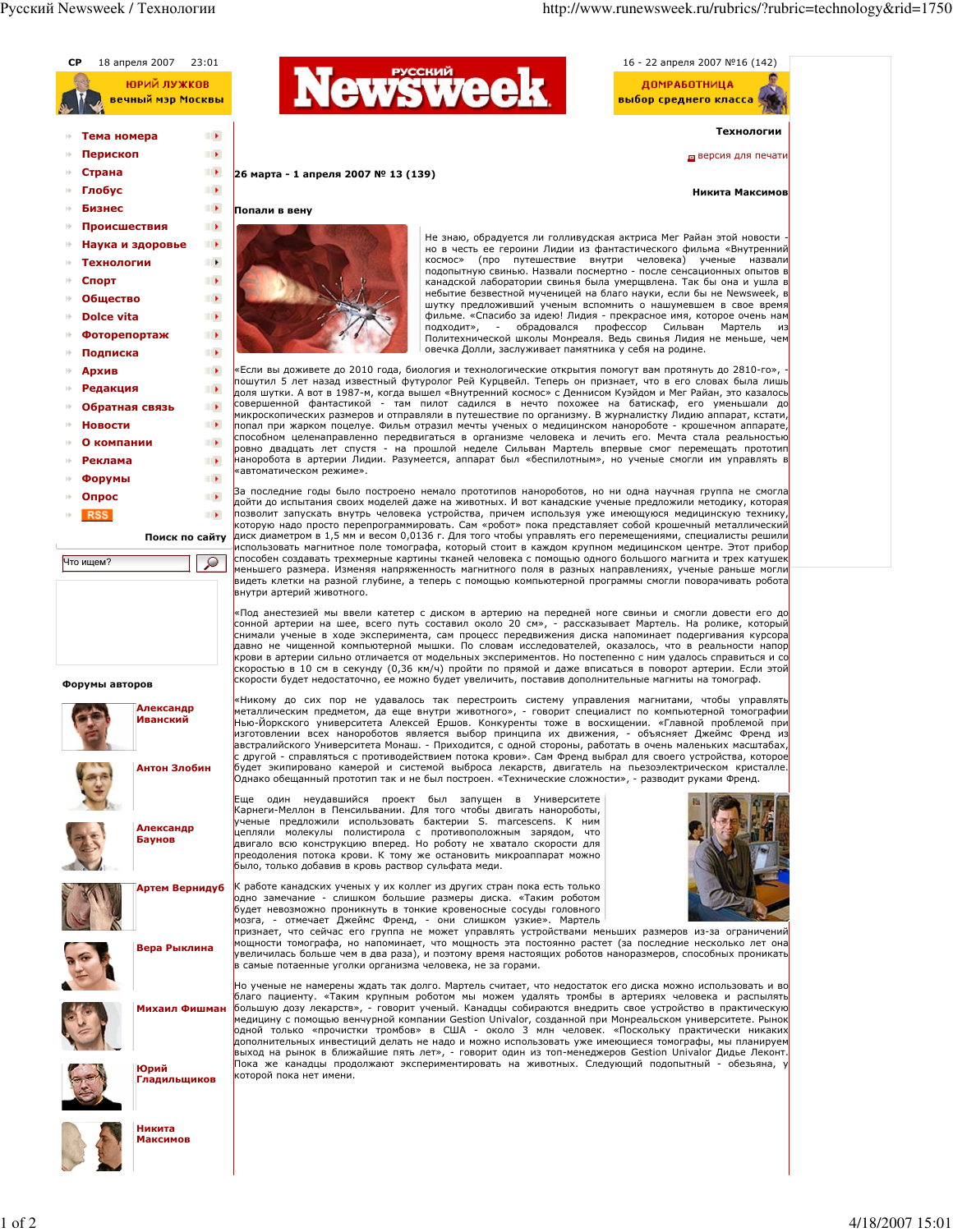

 $1$  of  $2$